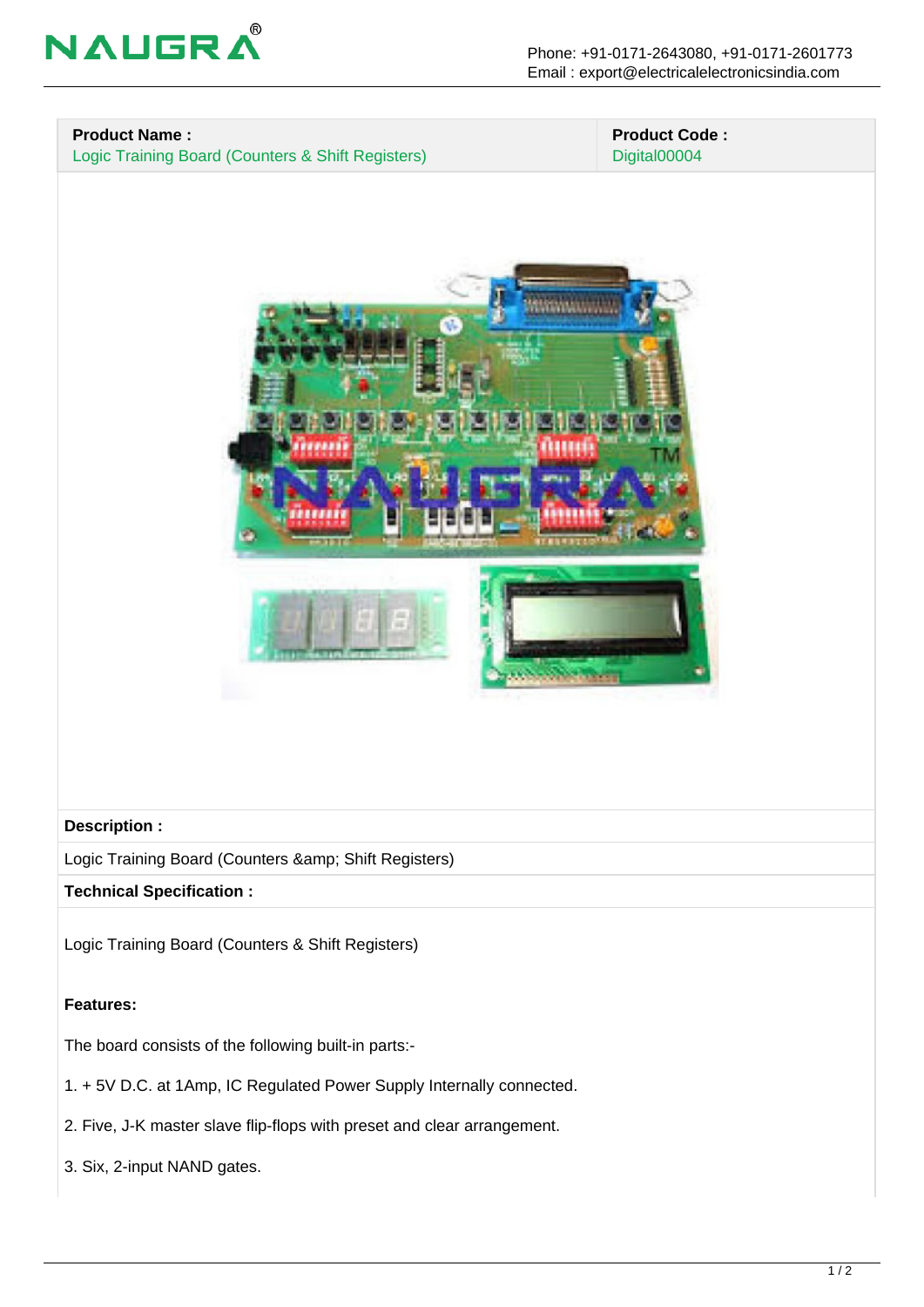



## **Features:**

The board consists of the following built-in parts:-

- 1. + 5V D.C. at 1Amp, IC Regulated Power Supply Internally connected.
- 2. Five, J-K master slave flip-flops with preset and clear arrangement.
- 3. Six, 2-input NAND gates.